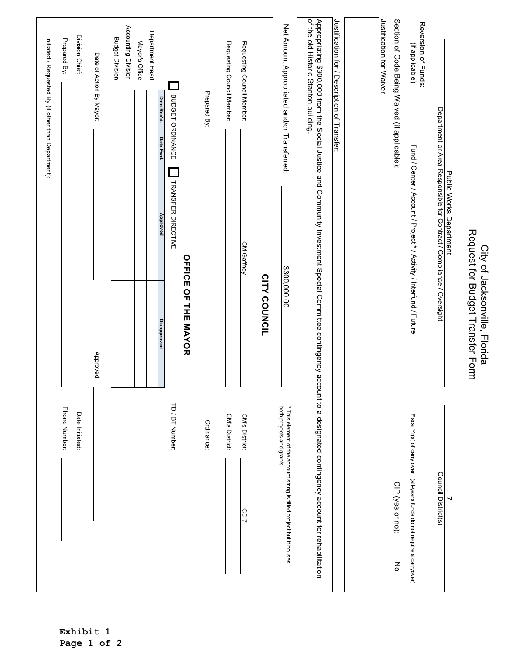|                                                                                                                                                                       |                                                                   |                                                                                                 |                          | Initiated / Requested By (if other than Department): |
|-----------------------------------------------------------------------------------------------------------------------------------------------------------------------|-------------------------------------------------------------------|-------------------------------------------------------------------------------------------------|--------------------------|------------------------------------------------------|
| Phone Number:                                                                                                                                                         |                                                                   |                                                                                                 |                          | Prepared By:                                         |
| Date Initiated:                                                                                                                                                       |                                                                   |                                                                                                 |                          | Division Chief:                                      |
|                                                                                                                                                                       | Approved:                                                         |                                                                                                 |                          | Date of Action By Mayor:                             |
|                                                                                                                                                                       |                                                                   |                                                                                                 |                          | <b>Budget Division</b>                               |
|                                                                                                                                                                       |                                                                   |                                                                                                 |                          | Accounting Division                                  |
|                                                                                                                                                                       |                                                                   |                                                                                                 |                          | Mayor's Office                                       |
|                                                                                                                                                                       | <b>Disapproved</b>                                                | Approved                                                                                        | Date Rec'd.<br>Date Fwd. | Department Head                                      |
| TD / BT Number:                                                                                                                                                       |                                                                   | TRANSFER DIRECTIVE                                                                              | BUDGET ORDINANCE         |                                                      |
|                                                                                                                                                                       | <b>OPFICE OF THE SAYOR</b>                                        |                                                                                                 |                          |                                                      |
| Ordinance:                                                                                                                                                            |                                                                   |                                                                                                 | Prepared By:             |                                                      |
| CM's District:                                                                                                                                                        |                                                                   |                                                                                                 |                          | Requesting Council Member:                           |
| CM's District:<br>CD7                                                                                                                                                 |                                                                   | CM Gaffney                                                                                      |                          | Requesting Council Member:                           |
|                                                                                                                                                                       | CITY COUNCIL                                                      |                                                                                                 |                          |                                                      |
| * This element of the account string is titled project but it houses<br>both projects and grants.                                                                     | \$300,000.00                                                      |                                                                                                 |                          | Net Amount Appropriated and/or Transferred:          |
| Appropriating \$300,000 from the Social Justice and Community Investment Special Committee contingency account to a designated contingency account for rehabilitation |                                                                   |                                                                                                 |                          | of the old Historic Stanton building.                |
|                                                                                                                                                                       |                                                                   |                                                                                                 |                          | Justification for / Description of Transfer:         |
|                                                                                                                                                                       |                                                                   |                                                                                                 |                          |                                                      |
|                                                                                                                                                                       |                                                                   |                                                                                                 |                          | Justification for Waiver                             |
| CIP (yes or no):<br>종                                                                                                                                                 |                                                                   |                                                                                                 |                          | Section of Code Being Waived (if applicable):        |
| Fiscal Yr(s) of carry over (all-years funds do not require a carryover)                                                                                               |                                                                   | Fund / Center / Account / Project * / Activity / Interfund / Future                             |                          | Reversion of Funds:<br>(if applicable)               |
| Council District(s)                                                                                                                                                   |                                                                   | Public Works Department<br>Department or Area Responsible for Contract / Compliance / Oversight |                          |                                                      |
|                                                                                                                                                                       |                                                                   |                                                                                                 |                          |                                                      |
|                                                                                                                                                                       | Request for Budget Transfer Form<br>City of Jacksonville, Florida |                                                                                                 |                          |                                                      |

**Exhibit 1 Page 1 of 2**